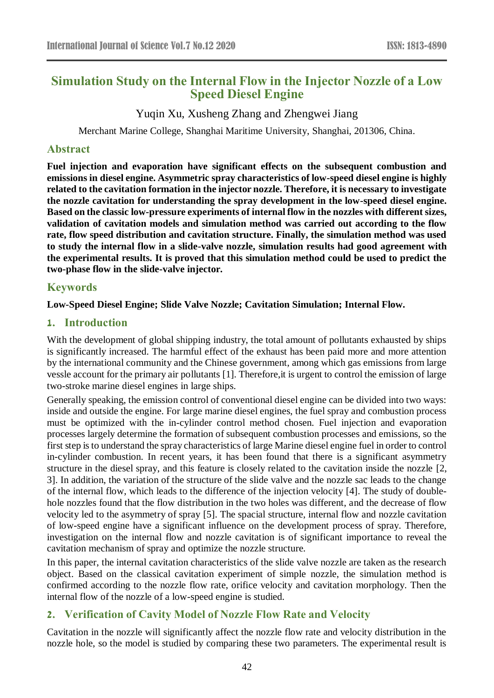# **Simulation Study on the Internal Flow in the Injector Nozzle of a Low Speed Diesel Engine**

Yuqin Xu, Xusheng Zhang and Zhengwei Jiang

Merchant Marine College, Shanghai Maritime University, Shanghai, 201306, China.

#### **Abstract**

**Fuel injection and evaporation have significant effects on the subsequent combustion and emissions in diesel engine. Asymmetric spray characteristics of low-speed diesel engine is highly related to the cavitation formation in the injector nozzle. Therefore, it is necessary to investigate the nozzle cavitation for understanding the spray development in the low-speed diesel engine. Based on the classic low-pressure experiments of internal flow in the nozzles with different sizes, validation of cavitation models and simulation method was carried out according to the flow rate, flow speed distribution and cavitation structure. Finally, the simulation method was used to study the internal flow in a slide-valve nozzle, simulation results had good agreement with the experimental results. It is proved that this simulation method could be used to predict the two-phase flow in the slide-valve injector.**

## **Keywords**

#### **Low-Speed Diesel Engine; Slide Valve Nozzle; Cavitation Simulation; Internal Flow.**

### **1. Introduction**

With the development of global shipping industry, the total amount of pollutants exhausted by ships is significantly increased. The harmful effect of the exhaust has been paid more and more attention by the international community and the Chinese government, among which gas emissions from large vessle account for the primary air pollutants [1]. Therefore,it is urgent to control the emission of large two-stroke marine diesel engines in large ships.

Generally speaking, the emission control of conventional diesel engine can be divided into two ways: inside and outside the engine. For large marine diesel engines, the fuel spray and combustion process must be optimized with the in-cylinder control method chosen. Fuel injection and evaporation processes largely determine the formation of subsequent combustion processes and emissions, so the first step is to understand the spray characteristics of large Marine diesel engine fuel in order to control in-cylinder combustion. In recent years, it has been found that there is a significant asymmetry structure in the diesel spray, and this feature is closely related to the cavitation inside the nozzle [2, 3]. In addition, the variation of the structure of the slide valve and the nozzle sac leads to the change of the internal flow, which leads to the difference of the injection velocity [4]. The study of doublehole nozzles found that the flow distribution in the two holes was different, and the decrease of flow velocity led to the asymmetry of spray [5]. The spacial structure, internal flow and nozzle cavitation of low-speed engine have a significant influence on the development process of spray. Therefore, investigation on the internal flow and nozzle cavitation is of significant importance to reveal the cavitation mechanism of spray and optimize the nozzle structure.

In this paper, the internal cavitation characteristics of the slide valve nozzle are taken as the research object. Based on the classical cavitation experiment of simple nozzle, the simulation method is confirmed according to the nozzle flow rate, orifice velocity and cavitation morphology. Then the internal flow of the nozzle of a low-speed engine is studied.

# **2. Verification of Cavity Model of Nozzle Flow Rate and Velocity**

Cavitation in the nozzle will significantly affect the nozzle flow rate and velocity distribution in the nozzle hole, so the model is studied by comparing these two parameters. The experimental result is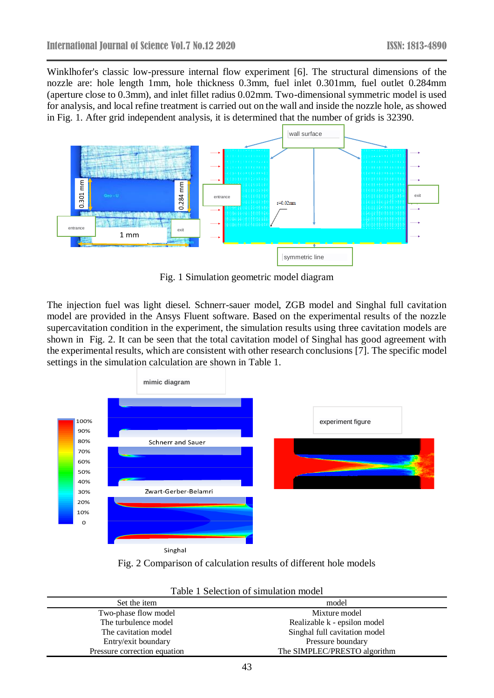Winklhofer's classic low-pressure internal flow experiment [6]. The structural dimensions of the nozzle are: hole length 1mm, hole thickness 0.3mm, fuel inlet 0.301mm, fuel outlet 0.284mm (aperture close to 0.3mm), and inlet fillet radius 0.02mm. Two-dimensional symmetric model is used for analysis, and local refine treatment is carried out on the wall and inside the nozzle hole, as showed in Fig. 1. After grid independent analysis, it is determined that the number of grids is 32390.



Fig. 1 Simulation geometric model diagram

The injection fuel was light diesel. Schnerr-sauer model, ZGB model and Singhal full cavitation model are provided in the Ansys Fluent software. Based on the experimental results of the nozzle supercavitation condition in the experiment, the simulation results using three cavitation models are shown in Fig. 2. It can be seen that the total cavitation model of Singhal has good agreement with the experimental results, which are consistent with other research conclusions [7]. The specific model settings in the simulation calculation are shown in Table 1.



Fig. 2 Comparison of calculation results of different hole models

| Set the item                 | model                         |
|------------------------------|-------------------------------|
| Two-phase flow model         | Mixture model                 |
| The turbulence model         | Realizable k - epsilon model  |
| The cavitation model         | Singhal full cavitation model |
| Entry/exit boundary          | Pressure boundary             |
| Pressure correction equation | The SIMPLEC/PRESTO algorithm  |

| Table 1 Selection of simulation model |  |  |
|---------------------------------------|--|--|
|                                       |  |  |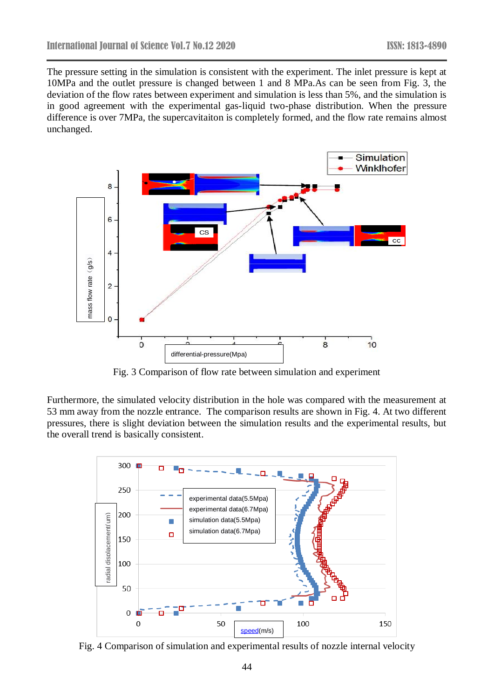The pressure setting in the simulation is consistent with the experiment. The inlet pressure is kept at 10MPa and the outlet pressure is changed between 1 and 8 MPa.As can be seen from Fig. 3, the deviation of the flow rates between experiment and simulation is less than 5%, and the simulation is in good agreement with the experimental gas-liquid two-phase distribution. When the pressure difference is over 7MPa, the supercavitaiton is completely formed, and the flow rate remains almost unchanged.



Fig. 3 Comparison of flow rate between simulation and experiment

Furthermore, the simulated velocity distribution in the hole was compared with the measurement at 53 mm away from the nozzle entrance. The comparison results are shown in Fig. 4. At two different pressures, there is slight deviation between the simulation results and the experimental results, but the overall trend is basically consistent.

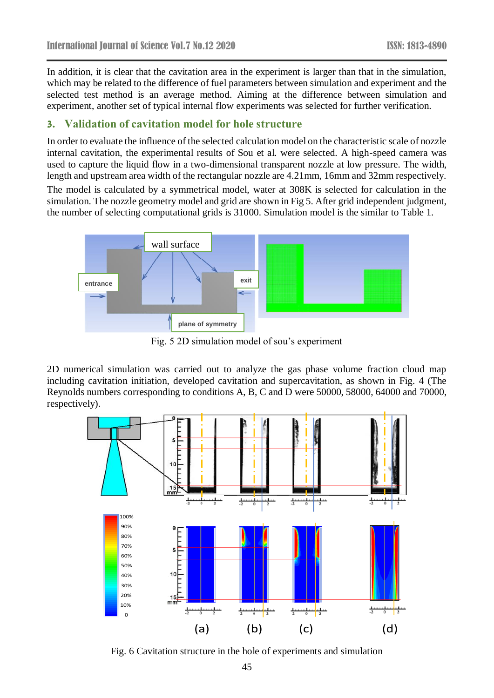In addition, it is clear that the cavitation area in the experiment is larger than that in the simulation, which may be related to the difference of fuel parameters between simulation and experiment and the selected test method is an average method. Aiming at the difference between simulation and experiment, another set of typical internal flow experiments was selected for further verification.

#### **3. Validation of cavitation model for hole structure**

In order to evaluate the influence of the selected calculation model on the characteristic scale of nozzle internal cavitation, the experimental results of Sou et al. were selected. A high-speed camera was used to capture the liquid flow in a two-dimensional transparent nozzle at low pressure. The width, length and upstream area width of the rectangular nozzle are 4.21mm, 16mm and 32mm respectively.

The model is calculated by a symmetrical model, water at 308K is selected for calculation in the simulation. The nozzle geometry model and grid are shown in Fig 5. After grid independent judgment, the number of selecting computational grids is 31000. Simulation model is the similar to Table 1.



Fig. 5 2D simulation model of sou's experiment

2D numerical simulation was carried out to analyze the gas phase volume fraction cloud map including cavitation initiation, developed cavitation and supercavitation, as shown in Fig. 4 (The Reynolds numbers corresponding to conditions A, B, C and D were 50000, 58000, 64000 and 70000, respectively).



Fig. 6 Cavitation structure in the hole of experiments and simulation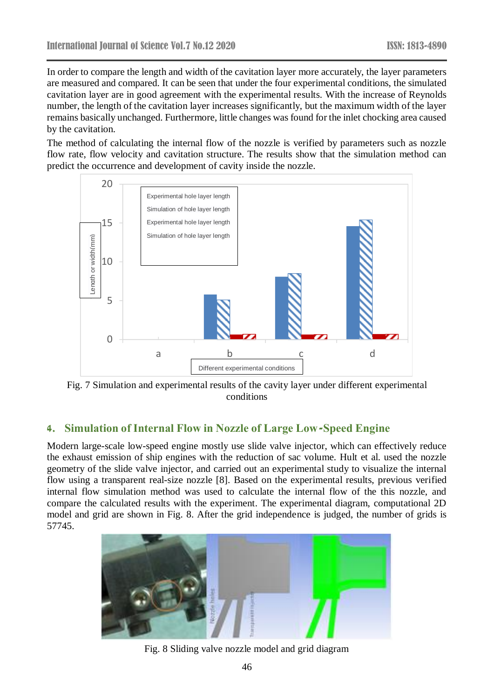In order to compare the length and width of the cavitation layer more accurately, the layer parameters are measured and compared. It can be seen that under the four experimental conditions, the simulated cavitation layer are in good agreement with the experimental results. With the increase of Reynolds number, the length of the cavitation layer increases significantly, but the maximum width of the layer remains basically unchanged. Furthermore, little changes was found for the inlet chocking area caused by the cavitation.

The method of calculating the internal flow of the nozzle is verified by parameters such as nozzle flow rate, flow velocity and cavitation structure. The results show that the simulation method can predict the occurrence and development of cavity inside the nozzle.



Fig. 7 Simulation and experimental results of the cavity layer under different experimental conditions

# **4. Simulation of Internal Flow in Nozzle of Large Low-Speed Engine**

Modern large-scale low-speed engine mostly use slide valve injector, which can effectively reduce the exhaust emission of ship engines with the reduction of sac volume. Hult et al. used the nozzle geometry of the slide valve injector, and carried out an experimental study to visualize the internal flow using a transparent real-size nozzle [8]. Based on the experimental results, previous verified internal flow simulation method was used to calculate the internal flow of the this nozzle, and compare the calculated results with the experiment. The experimental diagram, computational 2D model and grid are shown in Fig. 8. After the grid independence is judged, the number of grids is 57745.



Fig. 8 Sliding valve nozzle model and grid diagram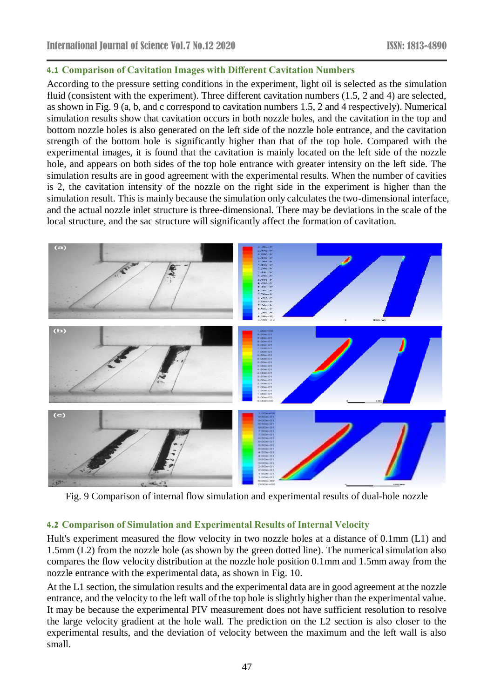#### **4.1 Comparison of Cavitation Images with Different Cavitation Numbers**

According to the pressure setting conditions in the experiment, light oil is selected as the simulation fluid (consistent with the experiment). Three different cavitation numbers (1.5, 2 and 4) are selected, as shown in Fig. 9 (a, b, and c correspond to cavitation numbers 1.5, 2 and 4 respectively). Numerical simulation results show that cavitation occurs in both nozzle holes, and the cavitation in the top and bottom nozzle holes is also generated on the left side of the nozzle hole entrance, and the cavitation strength of the bottom hole is significantly higher than that of the top hole. Compared with the experimental images, it is found that the cavitation is mainly located on the left side of the nozzle hole, and appears on both sides of the top hole entrance with greater intensity on the left side. The simulation results are in good agreement with the experimental results. When the number of cavities is 2, the cavitation intensity of the nozzle on the right side in the experiment is higher than the simulation result. This is mainly because the simulation only calculates the two-dimensional interface, and the actual nozzle inlet structure is three-dimensional. There may be deviations in the scale of the local structure, and the sac structure will significantly affect the formation of cavitation.



Fig. 9 Comparison of internal flow simulation and experimental results of dual-hole nozzle

#### **4.2 Comparison of Simulation and Experimental Results of Internal Velocity**

Hult's experiment measured the flow velocity in two nozzle holes at a distance of 0.1mm (L1) and 1.5mm (L2) from the nozzle hole (as shown by the green dotted line). The numerical simulation also compares the flow velocity distribution at the nozzle hole position 0.1mm and 1.5mm away from the nozzle entrance with the experimental data, as shown in Fig. 10.

At the L1 section, the simulation results and the experimental data are in good agreement at the nozzle entrance, and the velocity to the left wall of the top hole is slightly higher than the experimental value. It may be because the experimental PIV measurement does not have sufficient resolution to resolve the large velocity gradient at the hole wall. The prediction on the L2 section is also closer to the experimental results, and the deviation of velocity between the maximum and the left wall is also small.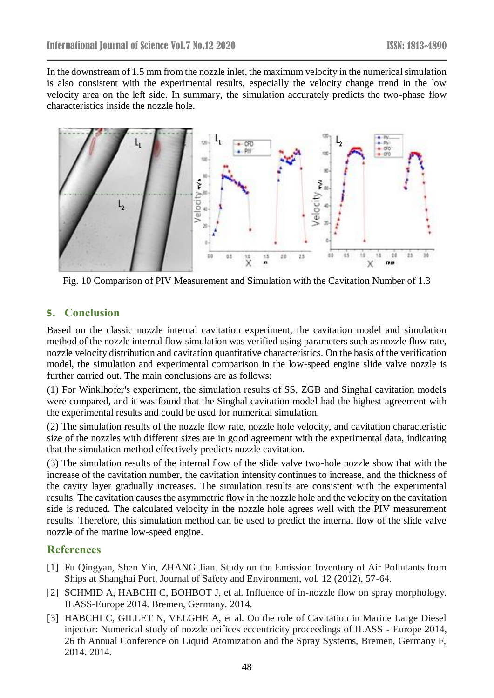In the downstream of 1.5 mm from the nozzle inlet, the maximum velocity in the numerical simulation is also consistent with the experimental results, especially the velocity change trend in the low velocity area on the left side. In summary, the simulation accurately predicts the two-phase flow characteristics inside the nozzle hole.



Fig. 10 Comparison of PIV Measurement and Simulation with the Cavitation Number of 1.3

#### **5. Conclusion**

Based on the classic nozzle internal cavitation experiment, the cavitation model and simulation method of the nozzle internal flow simulation was verified using parameters such as nozzle flow rate, nozzle velocity distribution and cavitation quantitative characteristics. On the basis of the verification model, the simulation and experimental comparison in the low-speed engine slide valve nozzle is further carried out. The main conclusions are as follows:

(1) For Winklhofer's experiment, the simulation results of SS, ZGB and Singhal cavitation models were compared, and it was found that the Singhal cavitation model had the highest agreement with the experimental results and could be used for numerical simulation.

(2) The simulation results of the nozzle flow rate, nozzle hole velocity, and cavitation characteristic size of the nozzles with different sizes are in good agreement with the experimental data, indicating that the simulation method effectively predicts nozzle cavitation.

(3) The simulation results of the internal flow of the slide valve two-hole nozzle show that with the increase of the cavitation number, the cavitation intensity continues to increase, and the thickness of the cavity layer gradually increases. The simulation results are consistent with the experimental results. The cavitation causes the asymmetric flow in the nozzle hole and the velocity on the cavitation side is reduced. The calculated velocity in the nozzle hole agrees well with the PIV measurement results. Therefore, this simulation method can be used to predict the internal flow of the slide valve nozzle of the marine low-speed engine.

#### **References**

- [1] Fu Qingyan, Shen Yin, ZHANG Jian. Study on the Emission Inventory of Air Pollutants from Ships at Shanghai Port, Journal of Safety and Environment, vol. 12 (2012), 57-64.
- [2] SCHMID A, HABCHI C, BOHBOT J, et al. Influence of in-nozzle flow on spray morphology. ILASS-Europe 2014. Bremen, Germany. 2014.
- [3] HABCHI C, GILLET N, VELGHE A, et al. On the role of Cavitation in Marine Large Diesel injector: Numerical study of nozzle orifices eccentricity proceedings of ILASS - Europe 2014, 26 th Annual Conference on Liquid Atomization and the Spray Systems, Bremen, Germany F, 2014. 2014.